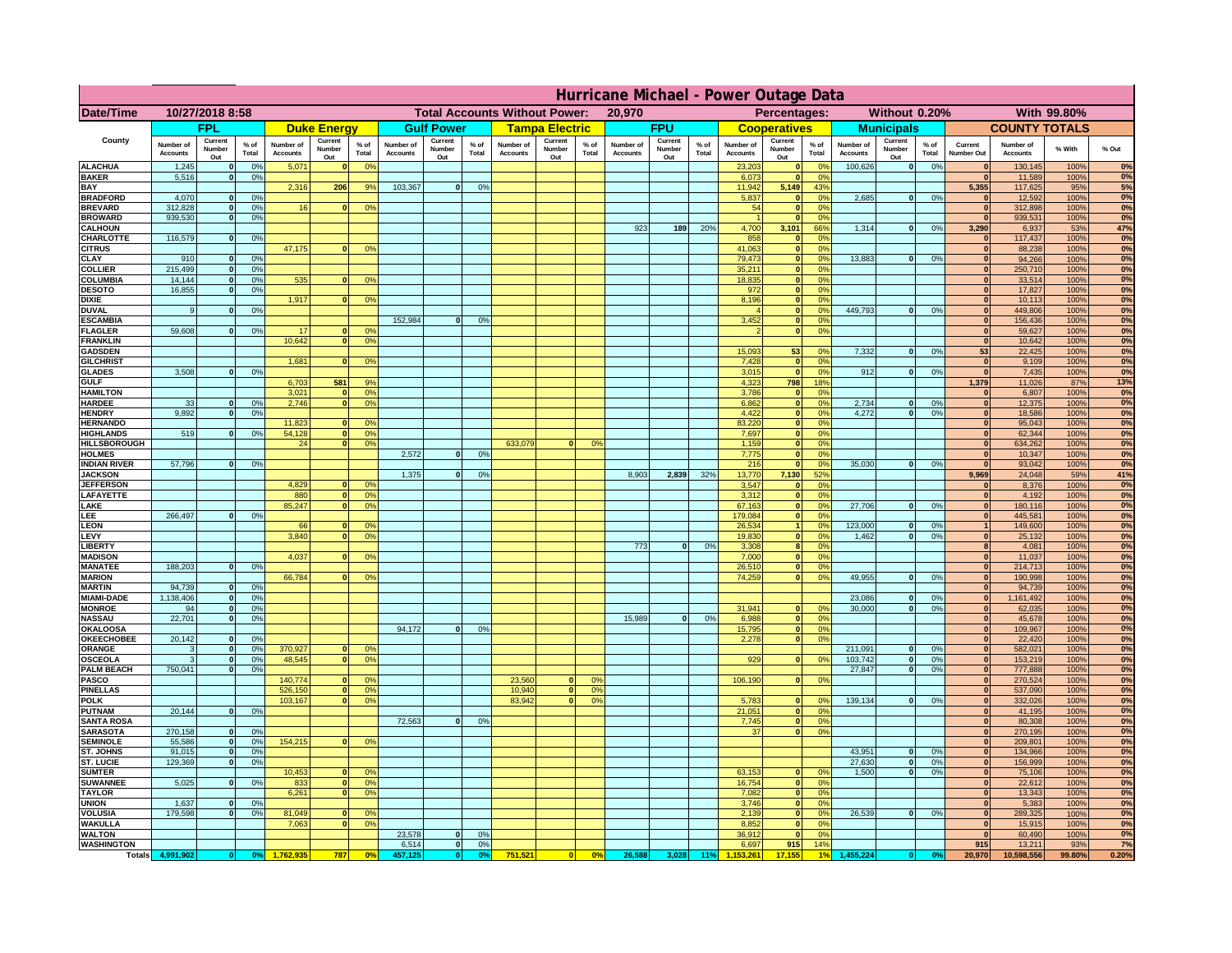|                                         | Hurricane Michael - Power Outage Data |                              |                      |                              |                                 |                                                |                              |                          |                      |                              |                                              |                 |                              |                          |               |                              |                          |                                               |                              |                          |                 |                              |                              |               |             |
|-----------------------------------------|---------------------------------------|------------------------------|----------------------|------------------------------|---------------------------------|------------------------------------------------|------------------------------|--------------------------|----------------------|------------------------------|----------------------------------------------|-----------------|------------------------------|--------------------------|---------------|------------------------------|--------------------------|-----------------------------------------------|------------------------------|--------------------------|-----------------|------------------------------|------------------------------|---------------|-------------|
| Date/Time                               | 10/27/2018 8:58                       |                              |                      |                              |                                 | <b>Total Accounts Without Power:</b><br>20,970 |                              |                          |                      |                              | With 99.80%<br>Percentages:<br>Without 0.20% |                 |                              |                          |               |                              |                          |                                               |                              |                          |                 |                              |                              |               |             |
|                                         |                                       | <b>FPL</b>                   |                      |                              | <b>Duke Energy</b>              |                                                |                              | <b>Gulf Power</b>        |                      |                              | <b>Tampa Electric</b>                        |                 |                              | <b>FPU</b>               |               |                              | <b>Cooperatives</b>      |                                               |                              | <b>Municipals</b>        |                 |                              | <b>COUNTY TOTALS</b>         |               |             |
| County                                  | Number of<br><b>Accounts</b>          | Current<br>Number<br>Out     | $%$ of<br>Total      | Number of<br><b>Accounts</b> | Current<br><b>Number</b><br>Out | $%$ of<br>Total                                | Number of<br><b>Accounts</b> | Current<br>Number<br>Out | $%$ of<br>Total      | Number of<br><b>Accounts</b> | Current<br>Number<br>Out                     | $%$ of<br>Total | Number of<br><b>Accounts</b> | Current<br>Number<br>Out | % of<br>Total | Number of<br><b>Accounts</b> | Current<br>Number<br>Out | $%$ of<br>Total                               | Number of<br><b>Accounts</b> | Current<br>Number<br>Out | $%$ of<br>Total | Current<br>Number Out        | Number of<br><b>Accounts</b> | % With        | % Out       |
| <b>ALACHUA</b><br><b>BAKER</b>          | 1,245<br>5,516                        | $\mathbf{0}$<br>$\mathbf{0}$ | 0%<br>0%             | 5,071                        |                                 | 0 <sup>9</sup>                                 |                              |                          |                      |                              |                                              |                 |                              |                          |               | 23,203<br>6,073              | $\bf{0}$<br>$\mathbf{0}$ | $^{\circ}$<br>0 <sup>9</sup>                  | 100,626                      | 0                        | 0%              | $\mathbf{0}$<br>$\mathbf{0}$ | 130,145<br>11,589            | 100%<br>100%  | 0%<br>0%    |
| BAY                                     |                                       |                              |                      | 2,316                        | 206                             | 9%                                             | 103,367                      | 0                        | 0%                   |                              |                                              |                 |                              |                          |               | 11,942                       | 5,149                    | 43%                                           |                              |                          |                 | 5,355                        | 117,625                      | 95%           | 5%          |
| <b>BRADFORD</b><br><b>BREVARD</b>       | 4,070<br>312.828                      | $\Omega$<br>$\mathbf{0}$     | 0%<br>0%             | 16                           |                                 | 0 <sup>o</sup>                                 |                              |                          |                      |                              |                                              |                 |                              |                          |               | 5,837<br>54                  | $\mathbf{0}$<br> 0       | 0 <sup>9</sup><br>0 <sup>9</sup>              | 2,685                        | 0                        | 0%              | $\Omega$<br> 0               | 12,592<br>312,898            | 100%<br>100%  | 0%<br>0%    |
| <b>BROWARD</b>                          | 939.530                               | $\mathbf{0}$                 | 0%                   |                              |                                 |                                                |                              |                          |                      |                              |                                              |                 |                              |                          |               |                              | 0                        | 0%                                            |                              |                          |                 | 0                            | 939,531                      | 100%          | 0%          |
| <b>CALHOUN</b><br>CHARLOTTE             | 116,579                               | $\mathbf{0}$                 | 0%                   |                              |                                 |                                                |                              |                          |                      |                              |                                              |                 | 923                          | 189                      | 20%           | 4,700<br>858                 | 3,101<br>$\mathbf{0}$    | 66%<br>0%                                     | 1,314                        | 0                        | 0%              | 3,290<br> 0                  | 6,937<br>117,437             | 53%<br>100%   | 47%<br>0%   |
| <b>CITRUS</b>                           |                                       |                              |                      | 47,175                       |                                 | 0 <sup>o</sup>                                 |                              |                          |                      |                              |                                              |                 |                              |                          |               | 41.063                       | 0                        | 0 <sup>9</sup>                                |                              |                          |                 | $\mathbf{0}$                 | 88.238                       | 100%          | 0%          |
| CLAY                                    | 910                                   |                              | 0%                   |                              |                                 |                                                |                              |                          |                      |                              |                                              |                 |                              |                          |               | 79,473                       | 0                        | 0%                                            | 13,883                       | 0                        | 0%              | $\mathbf{0}$                 | 94,266                       | 100%          | 0%          |
| <b>COLLIER</b><br>COLUMBIA              | 215,499<br>14,144                     |                              | 0%<br>0%             | 535                          |                                 | 0 <sup>o</sup>                                 |                              |                          |                      |                              |                                              |                 |                              |                          |               | 35,211<br>18,835             | 0 <br> 0                 | 0 <sup>9</sup><br>0 <sup>9</sup>              |                              |                          |                 | $\mathbf{0}$<br>$\mathbf{0}$ | 250,710<br>33,514            | 100%<br>100%  | 0%<br>0%    |
| <b>DESOTO</b>                           | 16,855                                |                              | 0%                   |                              |                                 |                                                |                              |                          |                      |                              |                                              |                 |                              |                          |               | 972                          | 0                        | 0 <sup>9</sup>                                |                              |                          |                 |                              | 17,827                       | 100%          | 0%          |
| <b>DIXIE</b><br><b>DUVAL</b>            | 9                                     |                              | 0 <sup>9</sup>       | 1,917                        |                                 | 0 <sup>o</sup>                                 |                              |                          |                      |                              |                                              |                 |                              |                          |               | 8,196                        | 0 <br> 0                 | 0 <sup>9</sup><br>0 <sup>9</sup>              | 449,793                      | 0                        | 0%              | $\mathbf{0}$<br>$\mathbf{0}$ | 10,113<br>449,806            | 100%<br>100%  | 0%<br>0%    |
| <b>ESCAMBIA</b>                         |                                       |                              |                      |                              |                                 |                                                | 152,984                      | $\Omega$                 | 0 <sup>9</sup>       |                              |                                              |                 |                              |                          |               | 3,452                        | $\mathbf{0}$             | 0 <sup>o</sup>                                |                              |                          |                 | $\mathbf{0}$                 | 156,436                      | 100%          | $0\%$       |
| <b>FLAGLER</b><br><b>FRANKLIN</b>       | 59,608                                | $\mathbf{0}$                 | 0 <sup>9</sup>       | 17<br>10,642                 |                                 | 0 <sup>9</sup><br>0 <sup>9</sup>               |                              |                          |                      |                              |                                              |                 |                              |                          |               |                              | 0                        | 0 <sup>9</sup>                                |                              |                          |                 | $\mathbf{0}$<br>$\mathbf{0}$ | 59,627<br>10,642             | 100%<br>100%  | 0%<br>0%    |
| <b>GADSDEN</b>                          |                                       |                              |                      |                              |                                 |                                                |                              |                          |                      |                              |                                              |                 |                              |                          |               | 15,093                       | 53                       | 0 <sup>9</sup>                                | 7,332                        | 0                        | 0%              | 53                           | 22,425                       | 100%          | 0%          |
| <b>GILCHRIST</b>                        |                                       |                              |                      | 1.681                        |                                 | 0 <sup>9</sup>                                 |                              |                          |                      |                              |                                              |                 |                              |                          |               | 7,428                        | 0                        | 0 <sup>9</sup>                                |                              |                          |                 | $\Omega$                     | 9,109                        | 100%          | 0%          |
| <b>GLADES</b><br><b>GULF</b>            | 3.508                                 |                              | 0%                   | 6,703                        | 581                             | 9%                                             |                              |                          |                      |                              |                                              |                 |                              |                          |               | 3,015<br>4,323               | 0 <br>798                | 0%<br>18%                                     | 912                          | 0                        | 0%              | 0 <br>1,379                  | 7,435<br>11,026              | 100%<br>87%   | 0%<br>13%   |
| <b>HAMILTON</b>                         |                                       |                              |                      | 3,021                        |                                 | 0 <sup>9</sup>                                 |                              |                          |                      |                              |                                              |                 |                              |                          |               | 3,786                        | 0                        | 0%                                            |                              |                          |                 | 0                            | 6,807                        | 100%          | 0%          |
| <b>HARDEE</b><br><b>HENDRY</b>          | 33<br>9.892                           | $\mathbf{0}$<br>$\Omega$     | 0%<br>0 <sup>9</sup> | 2,746                        |                                 | 0 <sup>9</sup>                                 |                              |                          |                      |                              |                                              |                 |                              |                          |               | 6,862<br>4,422               |                          | 0 <br>0%<br> 0 <br>0%                         | 2,734<br>4.272               | $\mathbf{0}$<br> 0       | 0%<br>0%        | 0 <br> 0                     | 12,375<br>18,586             | 100%<br>100%  | 0%<br>0%    |
| <b>HERNANDO</b>                         |                                       |                              |                      | 11,823                       |                                 | 0 <sup>o</sup>                                 |                              |                          |                      |                              |                                              |                 |                              |                          |               | 83,220                       |                          | 0 <br>0 <sup>9</sup>                          |                              |                          |                 | 0                            | 95,043                       | 100%          | 0%          |
| <b>HIGHLANDS</b><br><b>HILLSBOROUGH</b> | 519                                   | $\Omega$                     | 0%                   | 54,128<br>24                 |                                 | 0%<br>0 <sup>o</sup>                           |                              |                          |                      | 633,079                      | $\Omega$                                     | 0 <sup>9</sup>  |                              |                          |               | 7,697<br>1,159               |                          | 0 <br>0 <sup>9</sup><br> 0 <br>0 <sup>9</sup> |                              |                          |                 | 0 <br> 0                     | 62,344<br>634,262            | 100%<br>100%  | 0%<br>0%    |
| <b>HOLMES</b>                           |                                       |                              |                      |                              |                                 |                                                | 2,572                        | $\Omega$                 | 0 <sup>9</sup>       |                              |                                              |                 |                              |                          |               | 7,775                        |                          | 0 <br>0 <sup>9</sup>                          |                              |                          |                 | $\mathbf{0}$                 | 10,347                       | 100%          | 0%          |
| <b>INDIAN RIVER</b>                     | 57,796                                |                              | 0%                   |                              |                                 |                                                |                              | $\Omega$                 |                      |                              |                                              |                 |                              |                          |               | 216                          | 0                        | 0 <sup>9</sup>                                | 35.030                       | $\mathbf{0}$             | 0%              | $\mathbf{0}$                 | 93,042                       | 100%          | 0%<br>41%   |
| <b>JACKSON</b><br><b>JEFFERSON</b>      |                                       |                              |                      | 4.829                        |                                 | 0 <sup>9</sup>                                 | 1,375                        |                          | 0 <sup>9</sup>       |                              |                                              |                 | 8,903                        | 2,839                    | 32%           | 13,770<br>3,547              | 7,130<br>$\mathbf{0}$    | 52%<br>0%                                     |                              |                          |                 | 9,969<br>$\mathbf{0}$        | 24,048<br>8,376              | 59%<br>100%   | 0%          |
| LAFAYETTE                               |                                       |                              |                      | 880                          | n.                              | 0 <sup>9</sup>                                 |                              |                          |                      |                              |                                              |                 |                              |                          |               | 3.312                        |                          | $\overline{0}$<br>0%                          |                              |                          |                 | 0                            | 4.192                        | 100%          | 0%          |
| LAKE<br>LEE                             | 266,497                               |                              | 0%                   | 85,247                       |                                 | 0%                                             |                              |                          |                      |                              |                                              |                 |                              |                          |               | 67,163<br>179,084            |                          | 0 <br>0%<br>0%<br> 0                          | 27,706                       | $\mathbf{0}$             | 0%              | 0 <br> 0                     | 180,116<br>445,581           | 100%<br>100%  | 0%<br>0%    |
| <b>LEON</b>                             |                                       |                              |                      | 66                           |                                 | 0 <sup>9</sup>                                 |                              |                          |                      |                              |                                              |                 |                              |                          |               | 26,534                       |                          | 1 <sup>1</sup><br>0%                          | 123,000                      | $\mathbf{0}$             | 0%              | 1 <sup>1</sup>               | 149,600                      | 100%          | 0%          |
| LEVY<br><b>LIBERT</b>                   |                                       |                              |                      | 3,840                        |                                 | 0 <sup>9</sup>                                 |                              |                          |                      |                              |                                              |                 | 773                          | $\Omega$                 | 0%            | 19,830<br>3,308              |                          | 0%<br> 0 <br>8 <sup>1</sup><br>0%             | 1,462                        | $\mathbf{0}$             | 0%              | 0 <br>8 <sup>1</sup>         | 25,132<br>4,081              | 100%<br>100%  | 0%<br>0%    |
| <b>MADISON</b>                          |                                       |                              |                      | 4,037                        |                                 | 0 <sup>o</sup>                                 |                              |                          |                      |                              |                                              |                 |                              |                          |               | 7,000                        |                          | 0%<br> 0                                      |                              |                          |                 | 0                            | 11,037                       | 100%          | 0%          |
| <b>MANATEE</b><br><b>MARION</b>         | 188,203                               | $\mathbf{0}$                 | 0 <sup>9</sup>       | 66,784                       |                                 | 0 <sup>9</sup>                                 |                              |                          |                      |                              |                                              |                 |                              |                          |               | 26,510<br>74,259             |                          | 0%<br> 0 <br> 0 <br>0%                        | 49,955                       | 0                        | 0%              | 0 <br>$\mathbf{0}$           | 214,713<br>190,998           | 100%<br>100%  | 0%<br>0%    |
| <b>MARTIN</b>                           | 94,739                                | $\mathbf{0}$                 | 0 <sup>9</sup>       |                              |                                 |                                                |                              |                          |                      |                              |                                              |                 |                              |                          |               |                              |                          |                                               |                              |                          |                 | 0                            | 94,739                       | 100%          | 0%          |
| <b>MIAMI-DADE</b>                       | 1,138,406                             | 0 <br>-ol                    | 0%                   |                              |                                 |                                                |                              |                          |                      |                              |                                              |                 |                              |                          |               |                              | $\mathbf{0}$             | 0 <sup>9</sup>                                | 23,086                       | 0 <br> 0                 | 0%              | 0 <br>$\mathbf{0}$           | 1,161,492                    | 100%          | 0%<br>0%    |
| <b>MONROE</b><br><b>NASSAU</b>          | 94<br>22,701                          | 0                            | 0%<br>0%             |                              |                                 |                                                |                              |                          |                      |                              |                                              |                 | 15,989                       | 0                        | 0%            | 31,941<br>6,988              |                          | 0 <br>0%                                      | 30,000                       |                          | 0%              | 0                            | 62,035<br>45,678             | 100%<br>100%  | 0%          |
| <b>OKALOOSA</b>                         |                                       |                              |                      |                              |                                 |                                                | 94,172                       | 0                        | 0%                   |                              |                                              |                 |                              |                          |               | 15,795                       |                          | 0%<br> 0                                      |                              |                          |                 | 0                            | 109,967                      | 100%          | 0%          |
| <b>OKEECHOBEE</b><br>ORANGE             | 20,142<br>3                           | 0<br> 0                      | 0%<br>0%             | 370,927                      |                                 | 0 <sup>9</sup>                                 |                              |                          |                      |                              |                                              |                 |                              |                          |               | 2,278                        |                          | 0%<br> 0                                      | 211,091                      | 0                        | 0%              | 0 <br> 0                     | 22,420<br>582,021            | 100%<br>100%  | 0%<br>0%    |
| <b>OSCEOLA</b>                          | 3                                     | 0                            | 0%                   | 48,545                       | $\bullet$                       | 0%                                             |                              |                          |                      |                              |                                              |                 |                              |                          |               | 929                          |                          | 0 <br>0%                                      | 103,742                      | 0                        | 0%              | 0                            | 153,219                      | 100%          | 0%          |
| <b>PALM BEACH</b><br><b>PASCO</b>       | 750,041                               | 0                            | 0%                   | 140,774                      |                                 | 0 <sup>9</sup>                                 |                              |                          |                      | 23,560                       | $\mathbf{0}$                                 | O <sup>o</sup>  |                              |                          |               | 106,190                      |                          | 0%<br> 0                                      | 27,847                       | 0                        | 0%              | 0 <br> 0                     | 777,888<br>270,524           | 100%<br>100%  | 0%<br>0%    |
| <b>PINELLAS</b>                         |                                       |                              |                      | 526,150                      | $\mathbf{0}$                    | 0%                                             |                              |                          |                      | 10,940                       | 0                                            | 0 <sup>9</sup>  |                              |                          |               |                              |                          |                                               |                              |                          |                 | 0                            | 537,090                      | 100%          | 0%          |
| <b>POLK</b><br><b>PUTNAM</b>            | 20,144                                | 0                            | 0%                   | 103,167                      | $\Omega$                        | 0 <sup>9</sup>                                 |                              |                          |                      | 83,942                       | 0                                            | 0 <sup>o</sup>  |                              |                          |               | 5,783<br>21,051              |                          | 0 <br>$^{\circ}$<br>0 <sup>9</sup><br> 0      | 139,134                      | 0                        | 0%              | 0                            | 332,026<br>41,195            | 100%<br>100%  | 0%<br>0%    |
| <b>SANTA ROSA</b>                       |                                       |                              |                      |                              |                                 |                                                | 72,563                       | 0                        | 0%                   |                              |                                              |                 |                              |                          |               | 7,745                        |                          | 0 <sup>9</sup><br> 0                          |                              |                          |                 | 0 <br>$\Omega$               | 80,308                       | 100%          | 0%          |
| <b>SARASOTA</b>                         | 270,158                               | 0                            | 0 <sup>9</sup>       |                              |                                 |                                                |                              |                          |                      |                              |                                              |                 |                              |                          |               | 37                           |                          | 0%<br> 0                                      |                              |                          |                 | $\mathbf{0}$                 | 270,195                      | 100%          | 0%<br>0%    |
| <b>SEMINOLE</b><br>ST. JOHNS            | 55,586<br>91,015                      | 0 <br> 0                     | 0 <sup>9</sup><br>0% | 154,215                      | $\mathbf{0}$                    | 0 <sup>9</sup>                                 |                              |                          |                      |                              |                                              |                 |                              |                          |               |                              |                          |                                               | 43,951                       | 0                        | 0%              | 0 <br>$\mathbf{0}$           | 209,801<br>134,966           | 100%<br>100%  | 0%          |
| ST. LUCIE                               | 129,369                               | $\mathbf{0}$                 | 0%                   |                              |                                 |                                                |                              |                          |                      |                              |                                              |                 |                              |                          |               |                              |                          |                                               | 27,630                       | 0                        | 0%              | $\mathbf{0}$                 | 156,999                      | 100%          | 0%          |
| <b>SUMTER</b><br><b>SUWANNEE</b>        | 5,025                                 | $\Omega$                     | 0%                   | 10,453<br>833                | $\mathbf{0}$                    | 0 <sup>9</sup><br>0 <sup>9</sup>               |                              |                          |                      |                              |                                              |                 |                              |                          |               | 63,153<br>16,754             |                          | 0 <sup>9</sup><br>$\mathbf{0}$<br> 0 <br>0%   | 1.500                        | 0                        | 0%              | 0 <br>$\mathbf{0}$           | 75,106<br>22,612             | 100%<br>100%  | 0%<br>0%    |
| <b>TAYLOR</b>                           |                                       |                              |                      | 6,261                        |                                 | 0%                                             |                              |                          |                      |                              |                                              |                 |                              |                          |               | 7,082                        | 0                        | 0%                                            |                              |                          |                 | 0                            | 13,343                       | 100%          | 0%          |
| <b>UNION</b><br><b>VOLUSIA</b>          | 1.637<br>179.598                      | $\mathbf{0}$<br>$\mathbf{0}$ | 0%<br>0%             | 81,049                       |                                 | 0 <sup>9</sup>                                 |                              |                          |                      |                              |                                              |                 |                              |                          |               | 3.746<br>2.139               |                          | 0%<br> 0 <br> 0 <br>0%                        | 26.539                       | 0                        | 0%              | $\mathbf{0}$<br>$\mathbf{0}$ | 5,383<br>289,325             | 100%<br>100%  | $0\%$<br>0% |
| <b>WAKULLA</b>                          |                                       |                              |                      | 7,063                        |                                 | 0 <sup>o</sup>                                 |                              |                          |                      |                              |                                              |                 |                              |                          |               | 8,852                        |                          | 0%<br> 0                                      |                              |                          |                 | $\mathbf{0}$                 | 15,915                       | 100%          | 0%          |
| <b>WALTON</b>                           |                                       |                              |                      |                              |                                 |                                                | 23,578                       | 0                        | 0 <sup>9</sup>       |                              |                                              |                 |                              |                          |               | 36,912                       | 0                        | 0%                                            |                              |                          |                 | 0                            | 60,490                       | 100%          | 0%          |
| <b>WASHINGTON</b><br><b>Totals</b>      | 4,991,902                             | 0                            | 0 <sup>o</sup>       |                              | 787                             | 0 <sup>5</sup>                                 | 6,514<br>457,125             | 0 <br> 0                 | 0%<br>0 <sup>9</sup> | 751,521                      | 0                                            | 0%              | 26,588                       | 3,028                    | 11%           | 6,697                        | 915<br>17.155            | 14%                                           | 455,224                      |                          | 0 <sup>o</sup>  | 915<br>20,970                | 13,211<br>10,598,556         | 93%<br>99.80% | 7%<br>0.20% |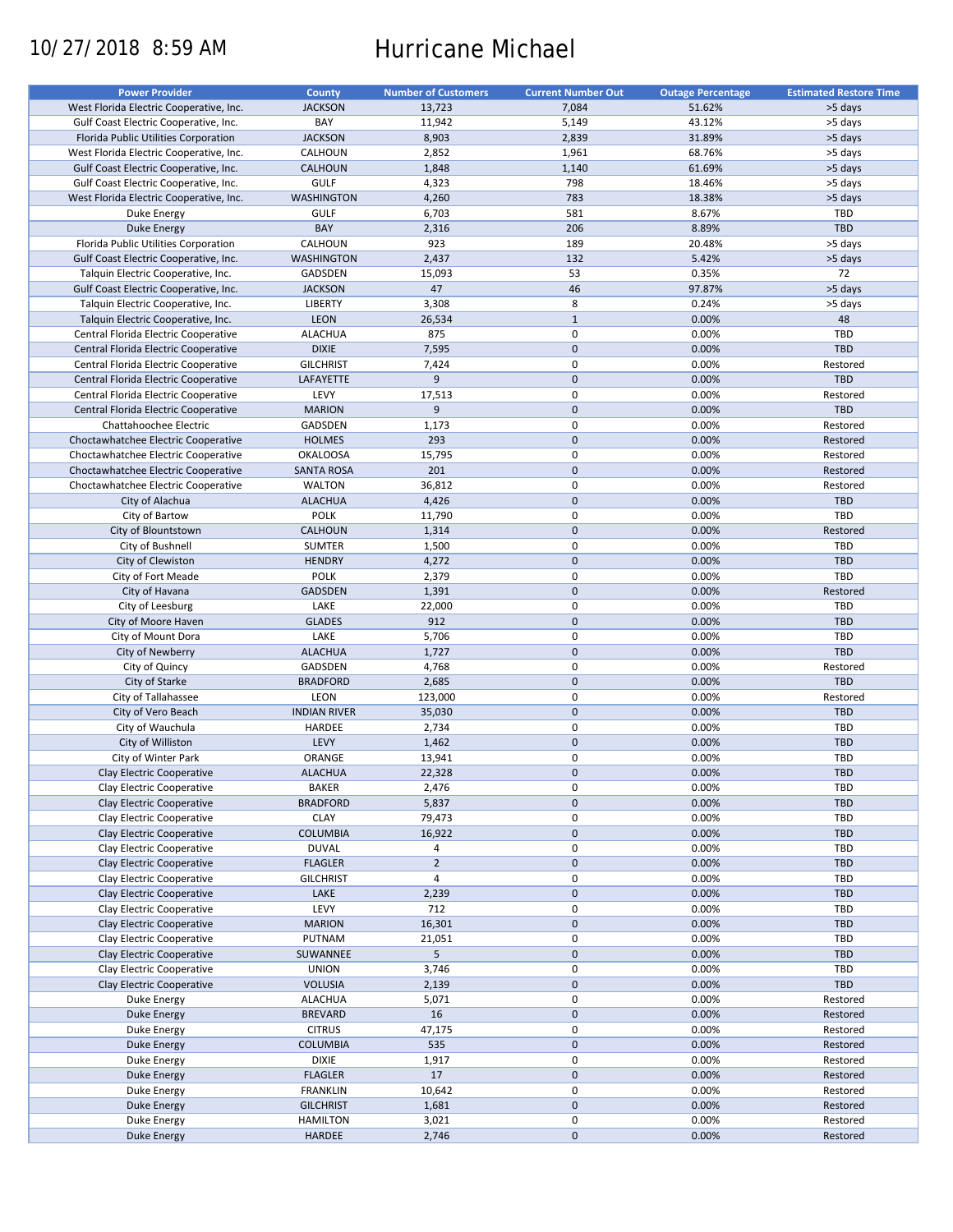# 10/27/2018 8:59 AM Hurricane Michael

| <b>Power Provider</b>                   | <b>County</b>       | <b>Number of Customers</b> | <b>Current Number Out</b> | <b>Outage Percentage</b> | <b>Estimated Restore Time</b> |
|-----------------------------------------|---------------------|----------------------------|---------------------------|--------------------------|-------------------------------|
| West Florida Electric Cooperative, Inc. | <b>JACKSON</b>      | 13,723                     | 7,084                     | 51.62%                   | >5 days                       |
| Gulf Coast Electric Cooperative, Inc.   | BAY                 | 11,942                     | 5,149                     | 43.12%                   | >5 days                       |
| Florida Public Utilities Corporation    | <b>JACKSON</b>      | 8,903                      | 2,839                     | 31.89%                   | >5 days                       |
|                                         |                     |                            |                           |                          |                               |
| West Florida Electric Cooperative, Inc. | CALHOUN             | 2,852                      | 1,961                     | 68.76%                   | >5 days                       |
| Gulf Coast Electric Cooperative, Inc.   | <b>CALHOUN</b>      | 1,848                      | 1,140                     | 61.69%                   | >5 days                       |
| Gulf Coast Electric Cooperative, Inc.   | <b>GULF</b>         | 4,323                      | 798                       | 18.46%                   | >5 days                       |
| West Florida Electric Cooperative, Inc. | <b>WASHINGTON</b>   | 4,260                      | 783                       | 18.38%                   | >5 days                       |
| Duke Energy                             | <b>GULF</b>         | 6,703                      | 581                       | 8.67%                    | TBD                           |
| Duke Energy                             | BAY                 | 2,316                      | 206                       | 8.89%                    | <b>TBD</b>                    |
| Florida Public Utilities Corporation    | CALHOUN             | 923                        | 189                       | 20.48%                   | >5 days                       |
| Gulf Coast Electric Cooperative, Inc.   | <b>WASHINGTON</b>   | 2,437                      | 132                       | 5.42%                    | >5 days                       |
| Talquin Electric Cooperative, Inc.      | GADSDEN             | 15,093                     | 53                        | 0.35%                    | 72                            |
| Gulf Coast Electric Cooperative, Inc.   | <b>JACKSON</b>      | 47                         | 46                        | 97.87%                   | >5 days                       |
|                                         |                     |                            | 8                         |                          |                               |
| Talquin Electric Cooperative, Inc.      | LIBERTY             | 3,308                      |                           | 0.24%                    | >5 days                       |
| Talquin Electric Cooperative, Inc.      | <b>LEON</b>         | 26,534                     | $\mathbf{1}$              | 0.00%                    | 48                            |
| Central Florida Electric Cooperative    | ALACHUA             | 875                        | $\mathbf 0$               | 0.00%                    | TBD                           |
| Central Florida Electric Cooperative    | <b>DIXIE</b>        | 7,595                      | $\mathbf{0}$              | 0.00%                    | <b>TBD</b>                    |
| Central Florida Electric Cooperative    | <b>GILCHRIST</b>    | 7,424                      | $\mathbf 0$               | 0.00%                    | Restored                      |
| Central Florida Electric Cooperative    | LAFAYETTE           | 9                          | $\mathbf 0$               | 0.00%                    | TBD                           |
| Central Florida Electric Cooperative    | LEVY                | 17,513                     | $\mathbf 0$               | 0.00%                    | Restored                      |
| Central Florida Electric Cooperative    | <b>MARION</b>       | 9                          | $\mathbf 0$               | 0.00%                    | TBD                           |
| Chattahoochee Electric                  | GADSDEN             | 1,173                      | $\pmb{0}$                 | 0.00%                    | Restored                      |
|                                         |                     |                            | $\mathbf 0$               |                          |                               |
| Choctawhatchee Electric Cooperative     | <b>HOLMES</b>       | 293                        |                           | 0.00%                    | Restored                      |
| Choctawhatchee Electric Cooperative     | <b>OKALOOSA</b>     | 15,795                     | $\mathbf 0$               | 0.00%                    | Restored                      |
| Choctawhatchee Electric Cooperative     | <b>SANTA ROSA</b>   | 201                        | $\mathbf 0$               | 0.00%                    | Restored                      |
| Choctawhatchee Electric Cooperative     | <b>WALTON</b>       | 36,812                     | 0                         | 0.00%                    | Restored                      |
| City of Alachua                         | <b>ALACHUA</b>      | 4,426                      | $\mathbf 0$               | 0.00%                    | TBD                           |
| City of Bartow                          | <b>POLK</b>         | 11,790                     | $\mathbf 0$               | 0.00%                    | <b>TBD</b>                    |
| City of Blountstown                     | <b>CALHOUN</b>      | 1,314                      | $\mathbf 0$               | 0.00%                    | Restored                      |
| City of Bushnell                        | <b>SUMTER</b>       | 1,500                      | $\pmb{0}$                 | 0.00%                    | TBD                           |
| City of Clewiston                       | <b>HENDRY</b>       | 4,272                      | $\mathbf 0$               | 0.00%                    | <b>TBD</b>                    |
|                                         |                     |                            |                           |                          |                               |
| City of Fort Meade                      | <b>POLK</b>         | 2,379                      | $\mathbf 0$               | 0.00%                    | TBD                           |
| City of Havana                          | <b>GADSDEN</b>      | 1,391                      | $\mathbf 0$               | 0.00%                    | Restored                      |
| City of Leesburg                        | LAKE                | 22,000                     | $\pmb{0}$                 | 0.00%                    | <b>TBD</b>                    |
| City of Moore Haven                     | <b>GLADES</b>       | 912                        | $\mathbf 0$               | 0.00%                    | <b>TBD</b>                    |
| City of Mount Dora                      | LAKE                | 5,706                      | 0                         | 0.00%                    | TBD                           |
| City of Newberry                        | <b>ALACHUA</b>      | 1,727                      | $\mathbf 0$               | 0.00%                    | <b>TBD</b>                    |
| City of Quincy                          | GADSDEN             | 4,768                      | $\pmb{0}$                 | 0.00%                    | Restored                      |
| City of Starke                          | <b>BRADFORD</b>     | 2,685                      | $\mathbf 0$               | 0.00%                    | TBD                           |
| City of Tallahassee                     | LEON                | 123,000                    | 0                         | 0.00%                    | Restored                      |
|                                         |                     |                            |                           |                          |                               |
| City of Vero Beach                      | <b>INDIAN RIVER</b> | 35,030                     | $\mathbf 0$               | 0.00%                    | <b>TBD</b>                    |
| City of Wauchula                        | HARDEE              | 2,734                      | $\pmb{0}$                 | 0.00%                    | TBD                           |
| City of Williston                       | LEVY                | 1,462                      | $\mathbf 0$               | 0.00%                    | TBD                           |
| City of Winter Park                     | ORANGE              | 13,941                     | 0                         | 0.00%                    | <b>TBD</b>                    |
| Clay Electric Cooperative               | <b>ALACHUA</b>      | 22,328                     | $\mathbf{0}$              | 0.00%                    | <b>TBD</b>                    |
| Clay Electric Cooperative               | BAKER               | 2,476                      | 0                         | 0.00%                    | <b>TBD</b>                    |
| Clay Electric Cooperative               | <b>BRADFORD</b>     | 5,837                      | $\pmb{0}$                 | 0.00%                    | TBD                           |
| Clay Electric Cooperative               | <b>CLAY</b>         | 79,473                     | 0                         | 0.00%                    | <b>TBD</b>                    |
| Clay Electric Cooperative               | <b>COLUMBIA</b>     | 16,922                     | $\mathbf 0$               | 0.00%                    | <b>TBD</b>                    |
| Clay Electric Cooperative               | <b>DUVAL</b>        |                            | $\pmb{0}$                 | 0.00%                    | <b>TBD</b>                    |
|                                         |                     | 4                          | $\pmb{0}$                 |                          |                               |
| Clay Electric Cooperative               | <b>FLAGLER</b>      | $\overline{2}$             |                           | 0.00%                    | <b>TBD</b>                    |
| Clay Electric Cooperative               | <b>GILCHRIST</b>    | $\overline{4}$             | 0                         | 0.00%                    | TBD                           |
| Clay Electric Cooperative               | LAKE                | 2,239                      | $\mathbf 0$               | 0.00%                    | <b>TBD</b>                    |
| Clay Electric Cooperative               | LEVY                | 712                        | $\pmb{0}$                 | 0.00%                    | <b>TBD</b>                    |
| Clay Electric Cooperative               | <b>MARION</b>       | 16,301                     | $\pmb{0}$                 | 0.00%                    | TBD                           |
| Clay Electric Cooperative               | PUTNAM              | 21,051                     | $\pmb{0}$                 | 0.00%                    | <b>TBD</b>                    |
| Clay Electric Cooperative               | SUWANNEE            | 5                          | $\pmb{0}$                 | 0.00%                    | <b>TBD</b>                    |
| Clay Electric Cooperative               | <b>UNION</b>        | 3,746                      | $\pmb{0}$                 | 0.00%                    | <b>TBD</b>                    |
|                                         |                     |                            |                           |                          |                               |
| Clay Electric Cooperative               | <b>VOLUSIA</b>      | 2,139                      | $\pmb{0}$                 | 0.00%                    | TBD                           |
| Duke Energy                             | ALACHUA             | 5,071                      | 0                         | 0.00%                    | Restored                      |
| Duke Energy                             | <b>BREVARD</b>      | 16                         | $\pmb{0}$                 | 0.00%                    | Restored                      |
| Duke Energy                             | <b>CITRUS</b>       | 47,175                     | $\pmb{0}$                 | 0.00%                    | Restored                      |
| <b>Duke Energy</b>                      | COLUMBIA            | 535                        | $\pmb{0}$                 | 0.00%                    | Restored                      |
| Duke Energy                             | <b>DIXIE</b>        | 1,917                      | $\pmb{0}$                 | 0.00%                    | Restored                      |
| Duke Energy                             | <b>FLAGLER</b>      | 17                         | $\pmb{0}$                 | 0.00%                    | Restored                      |
| Duke Energy                             | <b>FRANKLIN</b>     | 10,642                     | 0                         | 0.00%                    | Restored                      |
|                                         | <b>GILCHRIST</b>    | 1,681                      | $\pmb{0}$                 | 0.00%                    | Restored                      |
| Duke Energy                             |                     |                            |                           |                          |                               |
| Duke Energy                             | <b>HAMILTON</b>     | 3,021                      | 0                         | 0.00%                    | Restored                      |
| Duke Energy                             | HARDEE              | 2,746                      | $\pmb{0}$                 | 0.00%                    | Restored                      |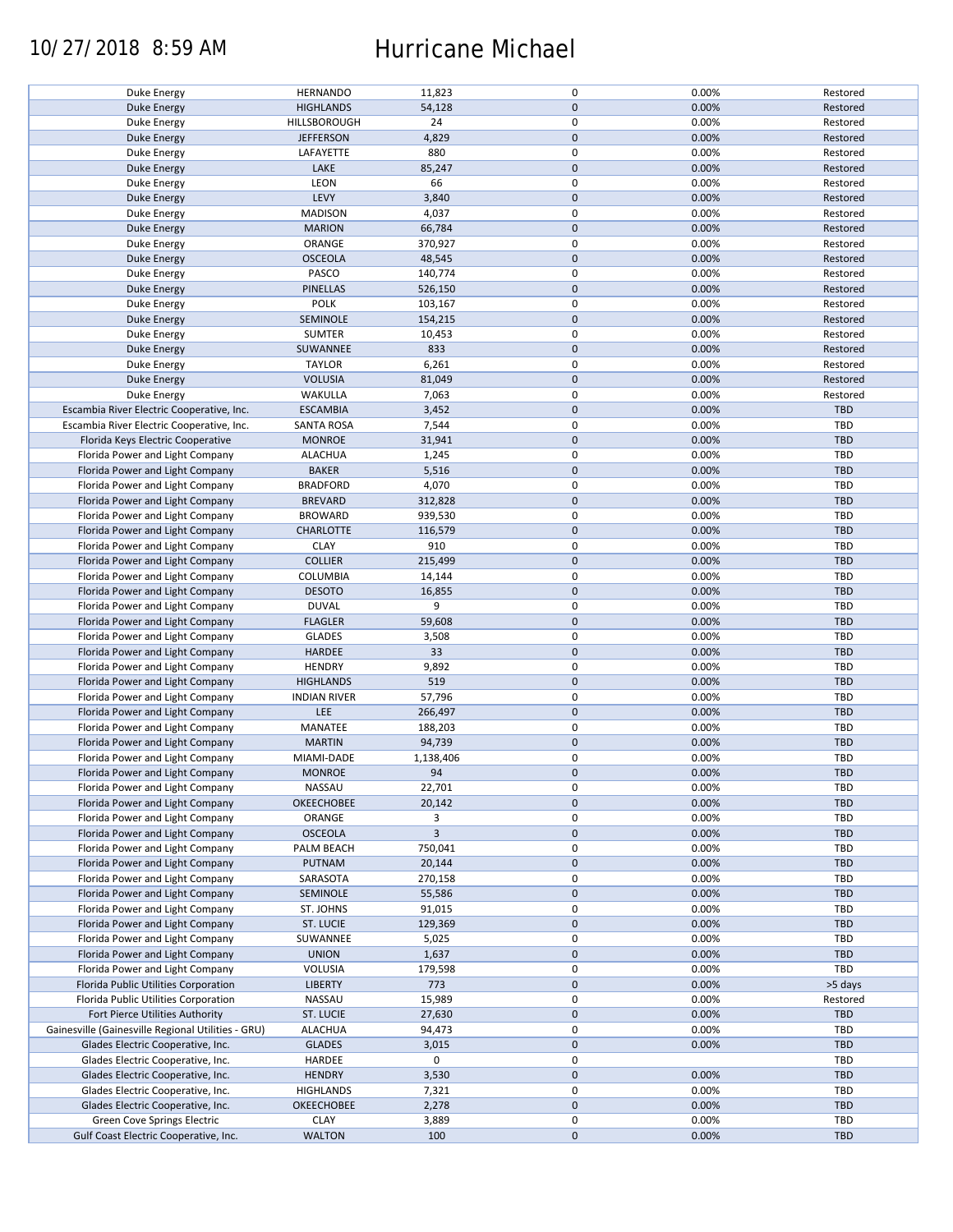### 10/27/2018 8:59 AM Hurricane Michael

| Duke Energy                                        | <b>HERNANDO</b>     | 11,823         | 0                | 0.00% | Restored   |
|----------------------------------------------------|---------------------|----------------|------------------|-------|------------|
| <b>Duke Energy</b>                                 | <b>HIGHLANDS</b>    | 54,128         | $\mathbf 0$      | 0.00% | Restored   |
|                                                    |                     |                |                  |       |            |
| Duke Energy                                        | HILLSBOROUGH        | 24             | $\mathsf 0$      | 0.00% | Restored   |
| <b>Duke Energy</b>                                 | <b>JEFFERSON</b>    | 4,829          | $\mathbf 0$      | 0.00% | Restored   |
| Duke Energy                                        | LAFAYETTE           | 880            | $\mathsf 0$      | 0.00% | Restored   |
|                                                    |                     |                |                  |       |            |
| <b>Duke Energy</b>                                 | LAKE                | 85,247         | $\mathbf 0$      | 0.00% | Restored   |
| Duke Energy                                        | LEON                | 66             | $\mathsf 0$      | 0.00% | Restored   |
|                                                    |                     |                |                  |       |            |
| <b>Duke Energy</b>                                 | LEVY                | 3,840          | $\mathbf 0$      | 0.00% | Restored   |
| Duke Energy                                        | <b>MADISON</b>      | 4,037          | 0                | 0.00% | Restored   |
|                                                    |                     |                | $\mathbf 0$      |       |            |
| <b>Duke Energy</b>                                 | <b>MARION</b>       | 66,784         |                  | 0.00% | Restored   |
| Duke Energy                                        | ORANGE              | 370,927        | 0                | 0.00% | Restored   |
| <b>Duke Energy</b>                                 | <b>OSCEOLA</b>      | 48,545         | $\mathbf 0$      | 0.00% | Restored   |
|                                                    |                     |                |                  |       |            |
| Duke Energy                                        | PASCO               | 140,774        | $\mathsf 0$      | 0.00% | Restored   |
| <b>Duke Energy</b>                                 | PINELLAS            | 526,150        | $\mathbf 0$      | 0.00% | Restored   |
|                                                    |                     |                |                  |       |            |
| Duke Energy                                        | <b>POLK</b>         | 103,167        | $\pmb{0}$        | 0.00% | Restored   |
| <b>Duke Energy</b>                                 | SEMINOLE            | 154,215        | $\mathbf 0$      | 0.00% | Restored   |
| Duke Energy                                        | <b>SUMTER</b>       | 10,453         | 0                | 0.00% | Restored   |
|                                                    |                     |                |                  |       |            |
| <b>Duke Energy</b>                                 | SUWANNEE            | 833            | $\mathbf 0$      | 0.00% | Restored   |
| Duke Energy                                        | <b>TAYLOR</b>       | 6,261          | $\mathsf 0$      | 0.00% | Restored   |
|                                                    |                     |                |                  |       |            |
| Duke Energy                                        | <b>VOLUSIA</b>      | 81,049         | $\mathbf 0$      | 0.00% | Restored   |
| Duke Energy                                        | WAKULLA             | 7,063          | $\pmb{0}$        | 0.00% | Restored   |
| Escambia River Electric Cooperative, Inc.          | <b>ESCAMBIA</b>     | 3,452          | $\pmb{0}$        | 0.00% | <b>TBD</b> |
|                                                    |                     |                |                  |       |            |
| Escambia River Electric Cooperative, Inc.          | <b>SANTA ROSA</b>   | 7,544          | $\mathsf 0$      | 0.00% | TBD        |
| Florida Keys Electric Cooperative                  | <b>MONROE</b>       | 31,941         | $\mathbf 0$      | 0.00% | <b>TBD</b> |
|                                                    |                     |                |                  |       |            |
| Florida Power and Light Company                    | <b>ALACHUA</b>      | 1,245          | $\mathsf 0$      | 0.00% | TBD        |
| Florida Power and Light Company                    | <b>BAKER</b>        | 5,516          | $\mathbf 0$      | 0.00% | TBD        |
|                                                    |                     |                |                  |       |            |
| Florida Power and Light Company                    | <b>BRADFORD</b>     | 4,070          | $\mathsf 0$      | 0.00% | TBD        |
| Florida Power and Light Company                    | <b>BREVARD</b>      | 312,828        | $\mathbf 0$      | 0.00% | <b>TBD</b> |
|                                                    |                     |                | $\pmb{0}$        |       |            |
| Florida Power and Light Company                    | <b>BROWARD</b>      | 939,530        |                  | 0.00% | TBD        |
| Florida Power and Light Company                    | <b>CHARLOTTE</b>    | 116,579        | $\pmb{0}$        | 0.00% | TBD        |
| Florida Power and Light Company                    | <b>CLAY</b>         | 910            | $\mathsf 0$      | 0.00% | TBD        |
|                                                    |                     |                |                  |       |            |
| Florida Power and Light Company                    | <b>COLLIER</b>      | 215,499        | $\mathbf 0$      | 0.00% | <b>TBD</b> |
| Florida Power and Light Company                    | COLUMBIA            | 14,144         | $\mathsf 0$      | 0.00% | TBD        |
|                                                    |                     |                |                  |       |            |
| Florida Power and Light Company                    | <b>DESOTO</b>       | 16,855         | $\mathbf 0$      | 0.00% | TBD        |
| Florida Power and Light Company                    | <b>DUVAL</b>        | 9              | $\mathsf 0$      | 0.00% | TBD        |
| Florida Power and Light Company                    | <b>FLAGLER</b>      | 59,608         | $\mathbf 0$      | 0.00% | <b>TBD</b> |
|                                                    |                     |                |                  |       |            |
| Florida Power and Light Company                    | <b>GLADES</b>       | 3,508          | $\mathsf 0$      | 0.00% | TBD        |
| Florida Power and Light Company                    | HARDEE              | 33             | $\pmb{0}$        | 0.00% | TBD        |
|                                                    |                     |                |                  |       |            |
| Florida Power and Light Company                    | <b>HENDRY</b>       | 9,892          | $\pmb{0}$        | 0.00% | TBD        |
| Florida Power and Light Company                    | <b>HIGHLANDS</b>    | 519            | $\mathbf 0$      | 0.00% | <b>TBD</b> |
|                                                    |                     |                |                  |       |            |
| Florida Power and Light Company                    | <b>INDIAN RIVER</b> | 57,796         | $\mathsf 0$      | 0.00% | TBD        |
| Florida Power and Light Company                    | LEE                 | 266,497        | $\mathbf 0$      | 0.00% | TBD        |
|                                                    | MANATEE             | 188,203        | $\mathsf 0$      | 0.00% | TBD        |
| Florida Power and Light Company                    |                     |                |                  |       |            |
| Florida Power and Light Company                    | <b>MARTIN</b>       | 94,739         | $\pmb{0}$        | 0.00% | <b>TBD</b> |
| Florida Power and Light Company                    | MIAMI-DADE          | 1,138,406      | $\mathsf 0$      | 0.00% | TBD        |
|                                                    |                     |                |                  |       |            |
| Florida Power and Light Company                    | <b>MONROE</b>       | 94             | $\mathbf{0}$     | 0.00% | <b>TBD</b> |
| Florida Power and Light Company                    | NASSAU              | 22,701         | $\mathsf 0$      | 0.00% | TBD        |
|                                                    |                     |                |                  |       |            |
| Florida Power and Light Company                    | <b>OKEECHOBEE</b>   | 20,142         | $\pmb{0}$        | 0.00% | TBD        |
| Florida Power and Light Company                    | ORANGE              | 3              | $\mathsf 0$      | 0.00% | TBD        |
| Florida Power and Light Company                    | <b>OSCEOLA</b>      | $\overline{3}$ | $\pmb{0}$        | 0.00% | <b>TBD</b> |
|                                                    |                     |                |                  |       |            |
| Florida Power and Light Company                    | PALM BEACH          | 750,041        | 0                | 0.00% | TBD        |
| Florida Power and Light Company                    | PUTNAM              | 20,144         | $\mathbf 0$      | 0.00% | TBD        |
|                                                    |                     |                |                  |       |            |
| Florida Power and Light Company                    | SARASOTA            | 270,158        | $\mathsf 0$      | 0.00% | TBD        |
| Florida Power and Light Company                    | SEMINOLE            | 55,586         | $\boldsymbol{0}$ | 0.00% | TBD        |
|                                                    |                     |                | 0                |       | TBD        |
| Florida Power and Light Company                    | ST. JOHNS           | 91,015         |                  | 0.00% |            |
| Florida Power and Light Company                    | ST. LUCIE           | 129,369        | $\boldsymbol{0}$ | 0.00% | TBD        |
| Florida Power and Light Company                    | SUWANNEE            | 5,025          | $\pmb{0}$        | 0.00% | TBD        |
|                                                    |                     |                |                  |       |            |
| Florida Power and Light Company                    | <b>UNION</b>        | 1,637          | $\pmb{0}$        | 0.00% | TBD        |
| Florida Power and Light Company                    | VOLUSIA             | 179,598        | 0                | 0.00% | TBD        |
|                                                    |                     |                |                  |       |            |
| Florida Public Utilities Corporation               | <b>LIBERTY</b>      | 773            | $\mathbf 0$      | 0.00% | >5 days    |
| Florida Public Utilities Corporation               | NASSAU              | 15,989         | $\mathsf 0$      | 0.00% | Restored   |
|                                                    |                     |                |                  |       |            |
| Fort Pierce Utilities Authority                    | ST. LUCIE           | 27,630         | $\mathbf 0$      | 0.00% | TBD        |
| Gainesville (Gainesville Regional Utilities - GRU) | <b>ALACHUA</b>      | 94,473         | $\pmb{0}$        | 0.00% | TBD        |
| Glades Electric Cooperative, Inc.                  | <b>GLADES</b>       | 3,015          | $\mathbf 0$      | 0.00% | TBD        |
|                                                    |                     |                |                  |       |            |
| Glades Electric Cooperative, Inc.                  | HARDEE              | 0              | 0                |       | TBD        |
| Glades Electric Cooperative, Inc.                  | <b>HENDRY</b>       | 3,530          | $\mathbf 0$      | 0.00% | TBD        |
|                                                    |                     |                |                  |       |            |
| Glades Electric Cooperative, Inc.                  | <b>HIGHLANDS</b>    | 7,321          | 0                | 0.00% | <b>TBD</b> |
| Glades Electric Cooperative, Inc.                  | <b>OKEECHOBEE</b>   | 2,278          | $\mathbf 0$      | 0.00% | TBD        |
|                                                    |                     |                |                  |       |            |
| Green Cove Springs Electric                        | <b>CLAY</b>         | 3,889          | 0                | 0.00% | <b>TBD</b> |
| Gulf Coast Electric Cooperative, Inc.              | <b>WALTON</b>       | 100            | $\mathbf 0$      | 0.00% | TBD        |
|                                                    |                     |                |                  |       |            |